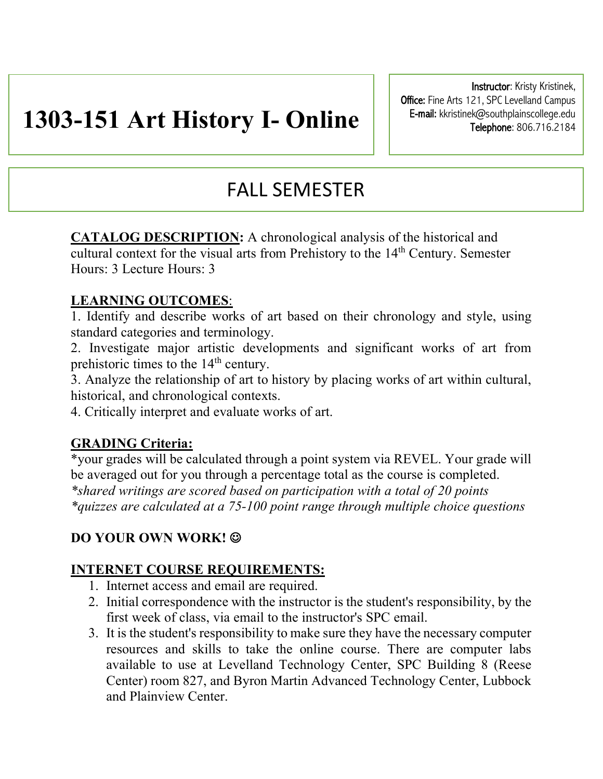# **1303-151 Art History I- Online**

Instructor: Kristy Kristinek, Office: Fine Arts 121, SPC Levelland Campus E-mail: kkristinek@southplainscollege.edu Telephone: 806.716.2184

## FALL SEMESTER

**CATALOG DESCRIPTION:** A chronological analysis of the historical and cultural context for the visual arts from Prehistory to the 14<sup>th</sup> Century. Semester Hours: 3 Lecture Hours: 3

## **LEARNING OUTCOMES**:

1. Identify and describe works of art based on their chronology and style, using standard categories and terminology.

2. Investigate major artistic developments and significant works of art from prehistoric times to the 14<sup>th</sup> century.

3. Analyze the relationship of art to history by placing works of art within cultural, historical, and chronological contexts.

4. Critically interpret and evaluate works of art.

## **GRADING Criteria:**

\*your grades will be calculated through a point system via REVEL. Your grade will be averaged out for you through a percentage total as the course is completed. *\*shared writings are scored based on participation with a total of 20 points \*quizzes are calculated at a 75-100 point range through multiple choice questions* 

## **DO YOUR OWN WORK!**  $\odot$

## **INTERNET COURSE REQUIREMENTS:**

- 1. Internet access and email are required.
- 2. Initial correspondence with the instructor is the student's responsibility, by the first week of class, via email to the instructor's SPC email.
- 3. It is the student's responsibility to make sure they have the necessary computer resources and skills to take the online course. There are computer labs available to use at Levelland Technology Center, SPC Building 8 (Reese Center) room 827, and Byron Martin Advanced Technology Center, Lubbock and Plainview Center.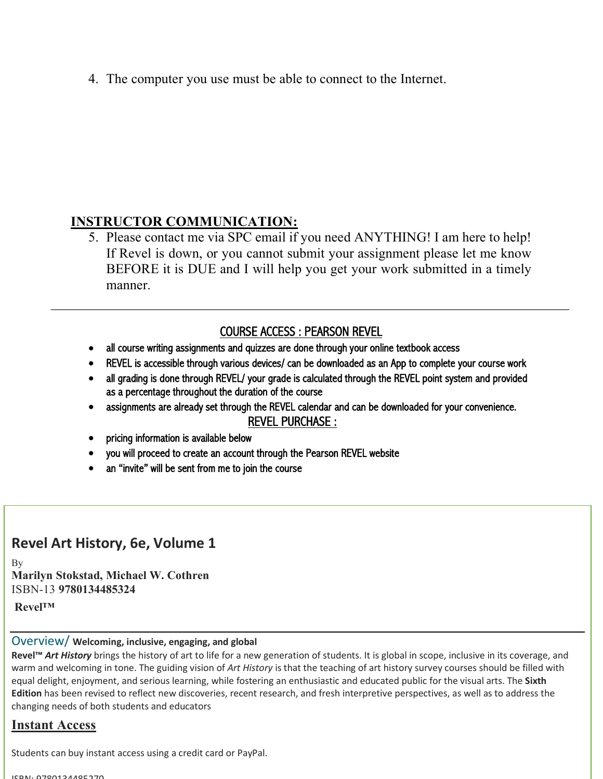4. The computer you use must be able to connect to the Internet.

## **INSTRUCTOR COMMUNICATION:**

5. Please contact me via SPC email if you need ANYTHING! I am here to help! If Revel is down, or you cannot submit your assignment please let me know BEFORE it is DUE and I will help you get your work submitted in a timely manner.

## COURSE ACCESS : PEARSON REVEL

- all course writing assignments and quizzes are done through your online textbook access
- REVEL is accessible through various devices/ can be downloaded as an App to complete your course work
- all grading is done through REVEL/ your grade is calculated through the REVEL point system and provided as a percentage throughout the duration of the course
- assignments are already set through the REVEL calendar and can be downloaded for your convenience.

#### REVEL PURCHASE :

- pricing information is available below
- you will proceed to create an account through the Pearson REVEL website
- an "invite" will be sent from me to join the course

#### j **Revel Art History, 6e, Volume 1**

Ξ

Ï

 **Marilyn Stokstad, Michael W. Cothren** ISBN-13 **9780134485324** By

**Revel™**

#### $\overline{a}$ Overview/ **Welcoming, inclusive, engaging, and global**

Revel<sup>™</sup> Art History brings the history of art to life for a new generation of students. It is global in scope, inclusive in its coverage, and warm and welcoming in tone. The guiding vision of *Art History* is that the teaching of art history survey courses should be filled with equal delight, enjoyment, and serious learning, while fostering an enthusiastic and educated public for the visual arts. The **Sixth cultion** has been revised to renect new discover<br>changing needs of both students and educators **Edition** has been revised to reflect new discoveries, recent research, and fresh interpretive perspectives, as well as to address the

#### **Instant Access**

Students can buy instant access using a credit card or PayPal.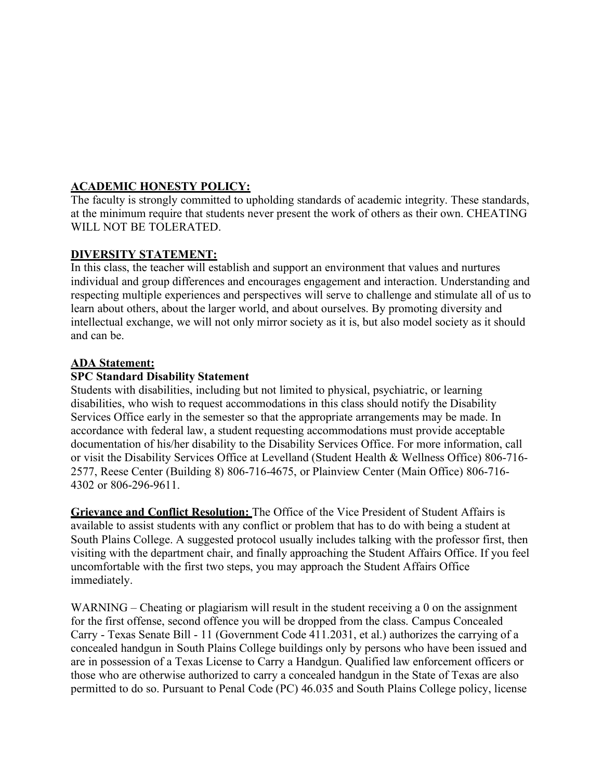#### **ACADEMIC HONESTY POLICY:**

The faculty is strongly committed to upholding standards of academic integrity. These standards, at the minimum require that students never present the work of others as their own. CHEATING WILL NOT BE TOLERATED.

#### **DIVERSITY STATEMENT:**

In this class, the teacher will establish and support an environment that values and nurtures individual and group differences and encourages engagement and interaction. Understanding and respecting multiple experiences and perspectives will serve to challenge and stimulate all of us to learn about others, about the larger world, and about ourselves. By promoting diversity and intellectual exchange, we will not only mirror society as it is, but also model society as it should and can be.

#### **ADA Statement:**

#### **SPC Standard Disability Statement**

Students with disabilities, including but not limited to physical, psychiatric, or learning disabilities, who wish to request accommodations in this class should notify the Disability Services Office early in the semester so that the appropriate arrangements may be made. In accordance with federal law, a student requesting accommodations must provide acceptable documentation of his/her disability to the Disability Services Office. For more information, call or visit the Disability Services Office at Levelland (Student Health & Wellness Office) 806-716- 2577, Reese Center (Building 8) 806-716-4675, or Plainview Center (Main Office) 806-716- 4302 or 806-296-9611.

**Grievance and Conflict Resolution:** The Office of the Vice President of Student Affairs is available to assist students with any conflict or problem that has to do with being a student at South Plains College. A suggested protocol usually includes talking with the professor first, then visiting with the department chair, and finally approaching the Student Affairs Office. If you feel uncomfortable with the first two steps, you may approach the Student Affairs Office immediately.

WARNING – Cheating or plagiarism will result in the student receiving a 0 on the assignment for the first offense, second offence you will be dropped from the class. Campus Concealed Carry - Texas Senate Bill - 11 (Government Code 411.2031, et al.) authorizes the carrying of a concealed handgun in South Plains College buildings only by persons who have been issued and are in possession of a Texas License to Carry a Handgun. Qualified law enforcement officers or those who are otherwise authorized to carry a concealed handgun in the State of Texas are also permitted to do so. Pursuant to Penal Code (PC) 46.035 and South Plains College policy, license